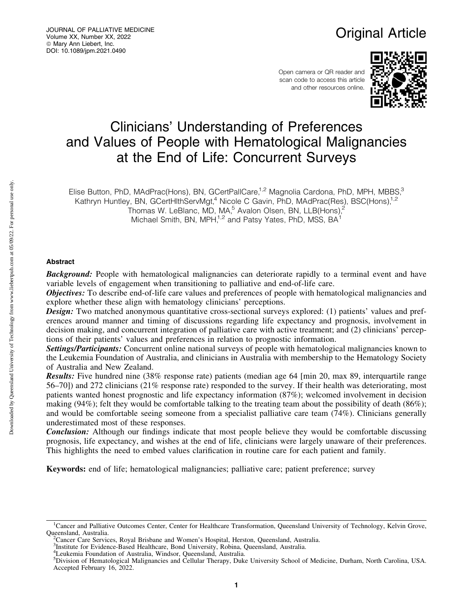# Original Article

Open camera or QR reader and scan code to access this article and other resources online.



# Clinicians' Understanding of Preferences and Values of People with Hematological Malignancies at the End of Life: Concurrent Surveys

Elise Button, PhD, MAdPrac(Hons), BN, GCertPallCare,<sup>1,2</sup> Magnolia Cardona, PhD, MPH, MBBS,<sup>3</sup> Kathryn Huntley, BN, GCertHlthServMgt,<sup>4</sup> Nicole C Gavin, PhD, MAdPrac(Res), BSC(Hons),<sup>1,2</sup>

Thomas W. LeBlanc, MD, MA, $^5$  Avalon Olsen, BN, LLB(Hons), $^2$ 

Michael Smith, BN, MPH,<sup>1,2</sup> and Patsy Yates, PhD, MSS, BA<sup>1</sup>

# Abstract

**Background:** People with hematological malignancies can deteriorate rapidly to a terminal event and have variable levels of engagement when transitioning to palliative and end-of-life care.

**Objectives:** To describe end-of-life care values and preferences of people with hematological malignancies and explore whether these align with hematology clinicians' perceptions.

**Design:** Two matched anonymous quantitative cross-sectional surveys explored: (1) patients' values and preferences around manner and timing of discussions regarding life expectancy and prognosis, involvement in decision making, and concurrent integration of palliative care with active treatment; and (2) clinicians' perceptions of their patients' values and preferences in relation to prognostic information.

Settings/Participants: Concurrent online national surveys of people with hematological malignancies known to the Leukemia Foundation of Australia, and clinicians in Australia with membership to the Hematology Society of Australia and New Zealand.

Results: Five hundred nine (38% response rate) patients (median age 64 [min 20, max 89, interquartile range 56–70]) and 272 clinicians (21% response rate) responded to the survey. If their health was deteriorating, most patients wanted honest prognostic and life expectancy information (87%); welcomed involvement in decision making (94%); felt they would be comfortable talking to the treating team about the possibility of death (86%); and would be comfortable seeing someone from a specialist palliative care team (74%). Clinicians generally underestimated most of these responses.

**Conclusion:** Although our findings indicate that most people believe they would be comfortable discussing prognosis, life expectancy, and wishes at the end of life, clinicians were largely unaware of their preferences. This highlights the need to embed values clarification in routine care for each patient and family.

Keywords: end of life; hematological malignancies; palliative care; patient preference; survey

<sup>&</sup>lt;sup>1</sup>Cancer and Palliative Outcomes Center, Center for Healthcare Transformation, Queensland University of Technology, Kelvin Grove, Queensland, Australia. <sup>2</sup>

Cancer Care Services, Royal Brisbane and Women's Hospital, Herston, Queensland, Australia.

<sup>3</sup> Institute for Evidence-Based Healthcare, Bond University, Robina, Queensland, Australia.

<sup>4</sup> Leukemia Foundation of Australia, Windsor, Queensland, Australia.

<sup>5</sup> Division of Hematological Malignancies and Cellular Therapy, Duke University School of Medicine, Durham, North Carolina, USA. Accepted February 16, 2022.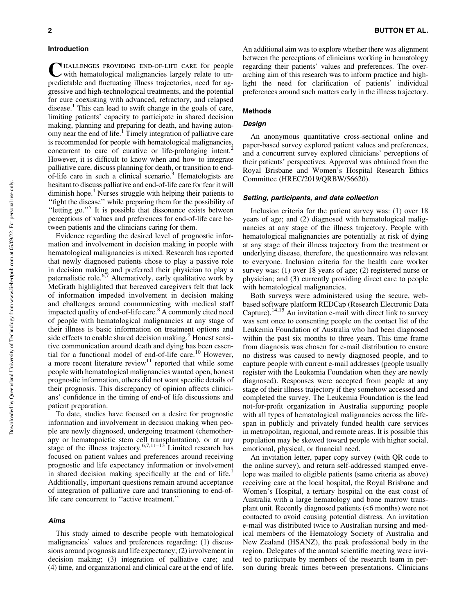#### Introduction

CHALLENGES PROVIDING END-OF-LIFE CARE for people with hematological malignancies largely relate to unpredictable and fluctuating illness trajectories, need for aggressive and high-technological treatments, and the potential for cure coexisting with advanced, refractory, and relapsed disease.<sup>1</sup> This can lead to swift change in the goals of care, limiting patients' capacity to participate in shared decision making, planning and preparing for death, and having autonomy near the end of life.1 Timely integration of palliative care is recommended for people with hematological malignancies, concurrent to care of curative or life-prolonging intent. However, it is difficult to know when and how to integrate palliative care, discuss planning for death, or transition to endof-life care in such a clinical scenario.<sup>3</sup> Hematologists are hesitant to discuss palliative and end-of-life care for fear it will diminish hope.<sup>4</sup> Nurses struggle with helping their patients to ''fight the disease'' while preparing them for the possibility of ''letting go.''5 It is possible that dissonance exists between perceptions of values and preferences for end-of-life care between patients and the clinicians caring for them.

Evidence regarding the desired level of prognostic information and involvement in decision making in people with hematological malignancies is mixed. Research has reported that newly diagnosed patients chose to play a passive role in decision making and preferred their physician to play a paternalistic role.<sup>6,7</sup> Alternatively, early qualitative work by McGrath highlighted that bereaved caregivers felt that lack of information impeded involvement in decision making and challenges around communicating with medical staff impacted quality of end-of-life care.8 A commonly cited need of people with hematological malignancies at any stage of their illness is basic information on treatment options and side effects to enable shared decision making.<sup>9</sup> Honest sensitive communication around death and dying has been essential for a functional model of end-of-life care.<sup>10</sup> However, a more recent literature review $11$  reported that while some people with hematological malignancies wanted open, honest prognostic information, others did not want specific details of their prognosis. This discrepancy of opinion affects clinicians' confidence in the timing of end-of life discussions and patient preparation.

To date, studies have focused on a desire for prognostic information and involvement in decision making when people are newly diagnosed, undergoing treatment (chemotherapy or hematopoietic stem cell transplantation), or at any stage of the illness trajectory.<sup>6,7,11-13</sup> Limited research has focused on patient values and preferences around receiving prognostic and life expectancy information or involvement in shared decision making specifically at the end of life.<sup>1</sup> Additionally, important questions remain around acceptance of integration of palliative care and transitioning to end-oflife care concurrent to ''active treatment.''

## Aims

This study aimed to describe people with hematological malignancies' values and preferences regarding: (1) discussions around prognosis and life expectancy; (2) involvement in decision making; (3) integration of palliative care; and (4) time, and organizational and clinical care at the end of life. An additional aim was to explore whether there was alignment between the perceptions of clinicians working in hematology regarding their patients' values and preferences. The overarching aim of this research was to inform practice and highlight the need for clarification of patients' individual preferences around such matters early in the illness trajectory.

# Methods

#### **Design**

An anonymous quantitative cross-sectional online and paper-based survey explored patient values and preferences, and a concurrent survey explored clinicians' perceptions of their patients' perspectives. Approval was obtained from the Royal Brisbane and Women's Hospital Research Ethics Committee (HREC/2019/QRBW/56620).

#### Setting, participants, and data collection

Inclusion criteria for the patient survey was: (1) over 18 years of age; and (2) diagnosed with hematological malignancies at any stage of the illness trajectory. People with hematological malignancies are potentially at risk of dying at any stage of their illness trajectory from the treatment or underlying disease, therefore, the questionnaire was relevant to everyone. Inclusion criteria for the health care worker survey was: (1) over 18 years of age; (2) registered nurse or physician; and (3) currently providing direct care to people with hematological malignancies.

Both surveys were administered using the secure, webbased software platform REDCap (Research Electronic Data Capture).<sup>14,15</sup> An invitation e-mail with direct link to survey was sent once to consenting people on the contact list of the Leukemia Foundation of Australia who had been diagnosed within the past six months to three years. This time frame from diagnosis was chosen for e-mail distribution to ensure no distress was caused to newly diagnosed people, and to capture people with current e-mail addresses (people usually register with the Leukemia Foundation when they are newly diagnosed). Responses were accepted from people at any stage of their illness trajectory if they somehow accessed and completed the survey. The Leukemia Foundation is the lead not-for-profit organization in Australia supporting people with all types of hematological malignancies across the lifespan in publicly and privately funded health care services in metropolitan, regional, and remote areas. It is possible this population may be skewed toward people with higher social, emotional, physical, or financial need.

An invitation letter, paper copy survey (with QR code to the online survey), and return self-addressed stamped envelope was mailed to eligible patients (same criteria as above) receiving care at the local hospital, the Royal Brisbane and Women's Hospital, a tertiary hospital on the east coast of Australia with a large hematology and bone marrow transplant unit. Recently diagnosed patients (<6 months) were not contacted to avoid causing potential distress. An invitation e-mail was distributed twice to Australian nursing and medical members of the Hematology Society of Australia and New Zealand (HSANZ), the peak professional body in the region. Delegates of the annual scientific meeting were invited to participate by members of the research team in person during break times between presentations. Clinicians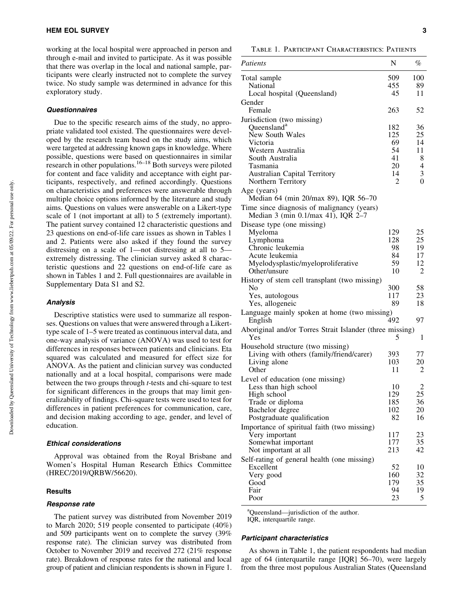working at the local hospital were approached in person and through e-mail and invited to participate. As it was possible that there was overlap in the local and national sample, participants were clearly instructed not to complete the survey twice. No study sample was determined in advance for this exploratory study.

#### **Questionnaires**

Due to the specific research aims of the study, no appropriate validated tool existed. The questionnaires were developed by the research team based on the study aims, which were targeted at addressing known gaps in knowledge. Where possible, questions were based on questionnaires in similar research in other populations.<sup>16–18</sup> Both surveys were piloted for content and face validity and acceptance with eight participants, respectively, and refined accordingly. Questions on characteristics and preferences were answerable through multiple choice options informed by the literature and study aims. Questions on values were answerable on a Likert-type scale of 1 (not important at all) to 5 (extremely important). The patient survey contained 12 characteristic questions and 23 questions on end-of-life care issues as shown in Tables 1 and 2. Patients were also asked if they found the survey distressing on a scale of 1—not distressing at all to 5 extremely distressing. The clinician survey asked 8 characteristic questions and 22 questions on end-of-life care as shown in Tables 1 and 2. Full questionnaires are available in Supplementary Data S1 and S2.

# Analysis

Descriptive statistics were used to summarize all responses. Questions on values that were answered through a Likerttype scale of 1–5 were treated as continuous interval data, and one-way analysis of variance (ANOVA) was used to test for differences in responses between patients and clinicians. Eta squared was calculated and measured for effect size for ANOVA. As the patient and clinician survey was conducted nationally and at a local hospital, comparisons were made between the two groups through *t*-tests and chi-square to test for significant differences in the groups that may limit generalizability of findings. Chi-square tests were used to test for differences in patient preferences for communication, care, and decision making according to age, gender, and level of education.

#### Ethical considerations

Approval was obtained from the Royal Brisbane and Women's Hospital Human Research Ethics Committee (HREC/2019/QRBW/56620).

## **Results**

#### Response rate

The patient survey was distributed from November 2019 to March 2020; 519 people consented to participate (40%) and 509 participants went on to complete the survey (39% response rate). The clinician survey was distributed from October to November 2019 and received 272 (21% response rate). Breakdown of response rates for the national and local group of patient and clinician respondents is shown in Figure 1.

Table 1. Participant Characteristics: Patients

| Patients                                                  | N         | $\%$           |
|-----------------------------------------------------------|-----------|----------------|
| Total sample                                              | 509       | 100            |
| National                                                  | 455       | 89             |
| Local hospital (Queensland)                               | 45        | 11             |
| Gender                                                    |           |                |
| Female                                                    | 263       | 52             |
| Jurisdiction (two missing)                                |           |                |
| Queensland <sup>a</sup>                                   | 182       | 36             |
| New South Wales                                           | 125       | 25             |
| Victoria<br>Western Australia                             | 69<br>54  | 14<br>11       |
| South Australia                                           | 41        | 8              |
| Tasmania                                                  | 20        | $\overline{4}$ |
| <b>Australian Capital Territory</b>                       | 14        | 3              |
| Northern Territory                                        | 2         | $\overline{0}$ |
| Age (years)<br>Median 64 (min 20/max 89), IQR 56-70       |           |                |
| Time since diagnosis of malignancy (years)                |           |                |
| Median 3 (min 0.1/max 41), IQR 2-7                        |           |                |
| Disease type (one missing)                                |           |                |
| Myeloma                                                   | 129       | 25             |
| Lymphoma                                                  | 128       | 25             |
| Chronic leukemia                                          | 98        | 19             |
| Acute leukemia                                            | 84        | 17             |
| Myelodysplastic/myeloproliferative                        | 59        | 12             |
| Other/unsure                                              | 10        | $\overline{c}$ |
| History of stem cell transplant (two missing)             |           |                |
| No                                                        | 300       | 58             |
| Yes, autologous                                           | 117       | 23             |
| Yes, allogeneic                                           | 89        | 18             |
| Language mainly spoken at home (two missing)              |           |                |
| English                                                   | 492       | 97             |
| Aboriginal and/or Torres Strait Islander (three missing)  |           |                |
| Yes                                                       | 5         | 1              |
| Household structure (two missing)                         |           |                |
| Living with others (family/friend/carer)                  | 393       | 77             |
| Living alone<br>Other                                     | 103<br>11 | 20<br>2        |
|                                                           |           |                |
| Level of education (one missing)<br>Less than high school | 10        | 2              |
| High school                                               | 129       | 25             |
| Trade or diploma                                          | 185       | 36             |
| Bachelor degree                                           | 102       | 20             |
| Postgraduate qualification                                | 82        | 16             |
| Importance of spiritual faith (two missing)               |           |                |
| Very important                                            | 117       | 23             |
| Somewhat important                                        | 177       | 35             |
| Not important at all                                      | 213       | 42             |
| Self-rating of general health (one missing)               |           |                |
| Excellent                                                 | 52        | 10             |
| Very good                                                 | 160       | 32             |
| Good                                                      | 179       | 35             |
| Fair                                                      | 94        | 19             |
| Poor                                                      | 23        | 5              |

<sup>a</sup>Queensland—jurisdiction of the author. IQR, interquartile range.

#### Participant characteristics

As shown in Table 1, the patient respondents had median age of 64 (interquartile range [IQR] 56–70), were largely from the three most populous Australian States (Queensland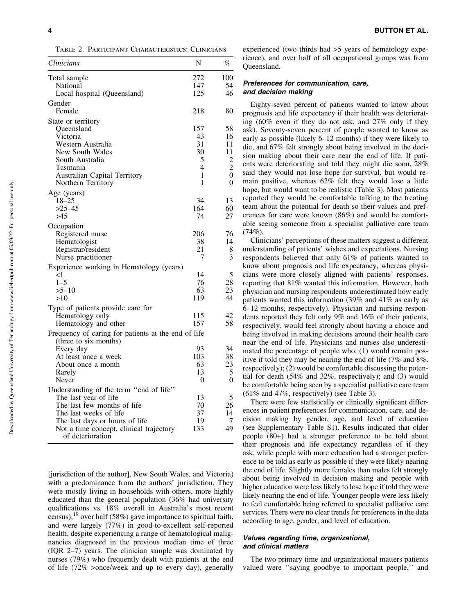Table 2. Participant Characteristics: Clinicians

| Clinicians                                                  | N   | %              |
|-------------------------------------------------------------|-----|----------------|
| Total sample                                                | 272 | 100            |
| National                                                    | 147 | 54             |
| Local hospital (Queensland)                                 | 125 | 46             |
| Gender                                                      |     |                |
| Female                                                      | 218 | 80             |
| State or territory                                          |     |                |
| Queensland                                                  | 157 | 58             |
| Victoria                                                    | 43  | 16             |
| Western Australia                                           | 31  | 11             |
| New South Wales                                             | 30  | 11             |
| South Australia                                             | 5   | $\overline{2}$ |
| Tasmania                                                    | 4   | $\overline{2}$ |
| Australian Capital Territory                                | 1   | 0              |
| Northern Territory                                          | 1   | 0              |
| Age (years)                                                 |     |                |
| $18 - 25$                                                   | 34  | 13             |
| $>25-45$                                                    | 164 | 60             |
| >45                                                         | 74  | 27             |
| Occupation                                                  |     |                |
| Registered nurse                                            | 206 | 76             |
| Hematologist                                                | 38  | 14             |
| Registrar/resident                                          | 21  | 8              |
| Nurse practitioner                                          | 7   | 3              |
| Experience working in Hematology (years)                    |     |                |
| $<$ 1                                                       | 14  | 5              |
| $1 - 5$                                                     | 76  | 28             |
| $>5 - 10$                                                   | 63  | 23             |
| >10                                                         | 119 | 44             |
| Type of patients provide care for                           |     |                |
| Hematology only                                             | 115 | 42             |
| Hematology and other                                        | 157 | 58             |
| Frequency of caring for patients at the end of life         |     |                |
| (three to six months)                                       |     |                |
| Every day                                                   | 93  | 34             |
| At least once a week                                        | 103 | 38             |
| About once a month                                          | 63  | 23             |
| Rarely                                                      | 13  | 5              |
| Never                                                       | 0   | 0              |
| Understanding of the term "end of life"                     |     |                |
| The last year of life                                       | 13  | 5              |
| The last few months of life                                 | 70  | 26             |
| The last weeks of life                                      | 37  | 14             |
| The last days or hours of life                              | 19  | 7              |
| Not a time concept, clinical trajectory<br>of deterioration | 133 | 49             |

[jurisdiction of the author], New South Wales, and Victoria) with a predominance from the authors' jurisdiction. They were mostly living in households with others, more highly educated than the general population (36% had university qualifications vs. 18% overall in Australia's most recent census), <sup>19</sup> over half (58%) gave importance to spiritual faith, and were largely (77%) in good-to-excellent self-reported health, despite experiencing a range of hematological malignancies diagnosed in the previous median time of three (IQR 2–7) years. The clinician sample was dominated by nurses (79%) who frequently dealt with patients at the end of life (72% >once/week and up to every day), generally experienced (two thirds had >5 years of hematology experience), and over half of all occupational groups was from Queensland.

#### Preferences for communication, care, and decision making

Eighty-seven percent of patients wanted to know about prognosis and life expectancy if their health was deteriorating (60% even if they do not ask, and 27% only if they ask). Seventy-seven percent of people wanted to know as early as possible (likely 6–12 months) if they were likely to die, and 67% felt strongly about being involved in the decision making about their care near the end of life. If patients were deteriorating and told they might die soon, 28% said they would not lose hope for survival, but would remain positive, whereas 62% felt they would lose a little hope, but would want to be realistic (Table 3). Most patients reported they would be comfortable talking to the treating team about the potential for death so their values and preferences for care were known (86%) and would be comfortable seeing someone from a specialist palliative care team  $(74\%)$ .

Clinicians' perceptions of these matters suggest a different understanding of patients' wishes and expectations. Nursing respondents believed that only 61% of patients wanted to know about prognosis and life expectancy, whereas physicians were more closely aligned with patients' responses, reporting that 81% wanted this information. However, both physician and nursing respondents underestimated how early patients wanted this information (39% and 41% as early as 6–12 months, respectively). Physician and nursing respondents reported they felt only 9% and 16% of their patients, respectively, would feel strongly about having a choice and being involved in making decisions around their health care near the end of life. Physicians and nurses also underestimated the percentage of people who: (1) would remain positive if told they may be nearing the end of life (7% and 8%, respectively); (2) would be comfortable discussing the potential for death (54% and 32%, respectively); and (3) would be comfortable being seen by a specialist palliative care team (61% and 47%, respectively) (see Table 3).

There were few statistically or clinically significant differences in patient preferences for communication, care, and decision making by gender, age, and level of education (see Supplementary Table S1). Results indicated that older people (80+) had a stronger preference to be told about their prognosis and life expectancy regardless of if they ask, while people with more education had a stronger preference to be told as early as possible if they were likely nearing the end of life. Slightly more females than males felt strongly about being involved in decision making and people with higher education were less likely to lose hope if told they were likely nearing the end of life. Younger people were less likely to feel comfortable being referred to specialist palliative care services. There were no clear trends for preferences in the data according to age, gender, and level of education.

# Values regarding time, organizational, and clinical matters

The two primary time and organizational matters patients valued were ''saying goodbye to important people,'' and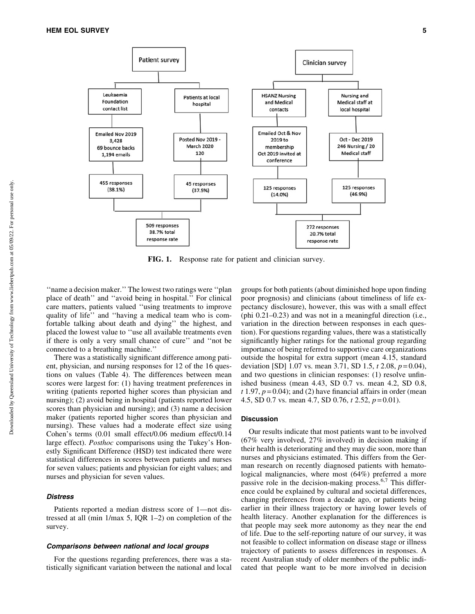

FIG. 1. Response rate for patient and clinician survey.

''name a decision maker.'' The lowest two ratings were ''plan place of death'' and ''avoid being in hospital.'' For clinical care matters, patients valued ''using treatments to improve quality of life'' and ''having a medical team who is comfortable talking about death and dying'' the highest, and placed the lowest value to ''use all available treatments even if there is only a very small chance of cure'' and ''not be connected to a breathing machine.''

There was a statistically significant difference among patient, physician, and nursing responses for 12 of the 16 questions on values (Table 4). The differences between mean scores were largest for: (1) having treatment preferences in writing (patients reported higher scores than physician and nursing); (2) avoid being in hospital (patients reported lower scores than physician and nursing); and (3) name a decision maker (patients reported higher scores than physician and nursing). These values had a moderate effect size using Cohen's terms (0.01 small effect/0.06 medium effect/0.14 large effect). *Posthoc* comparisons using the Tukey's Honestly Significant Difference (HSD) test indicated there were statistical differences in scores between patients and nurses for seven values; patients and physician for eight values; and nurses and physician for seven values.

# **Distress**

Patients reported a median distress score of 1—not distressed at all (min 1/max 5, IQR 1–2) on completion of the survey.

### Comparisons between national and local groups

For the questions regarding preferences, there was a statistically significant variation between the national and local groups for both patients (about diminished hope upon finding poor prognosis) and clinicians (about timeliness of life expectancy disclosure), however, this was with a small effect (phi 0.21–0.23) and was not in a meaningful direction (i.e., variation in the direction between responses in each question). For questions regarding values, there was a statistically significantly higher ratings for the national group regarding importance of being referred to supportive care organizations outside the hospital for extra support (mean 4.15, standard deviation [SD] 1.07 vs. mean 3.71, SD 1.5, *t* 2.08, *p* = 0.04), and two questions in clinician responses: (1) resolve unfinished business (mean 4.43, SD 0.7 vs. mean 4.2, SD 0.8,  $t$  1.97,  $p = 0.04$ ); and (2) have financial affairs in order (mean 4.5, SD 0.7 vs. mean 4.7, SD 0.76, *t* 2.52, *p* = 0.01).

#### Discussion

Our results indicate that most patients want to be involved (67% very involved, 27% involved) in decision making if their health is deteriorating and they may die soon, more than nurses and physicians estimated. This differs from the German research on recently diagnosed patients with hematological malignancies, where most (64%) preferred a more passive role in the decision-making process.<sup>6,7</sup> This difference could be explained by cultural and societal differences, changing preferences from a decade ago, or patients being earlier in their illness trajectory or having lower levels of health literacy. Another explanation for the differences is that people may seek more autonomy as they near the end of life. Due to the self-reporting nature of our survey, it was not feasible to collect information on disease stage or illness trajectory of patients to assess differences in responses. A recent Australian study of older members of the public indicated that people want to be more involved in decision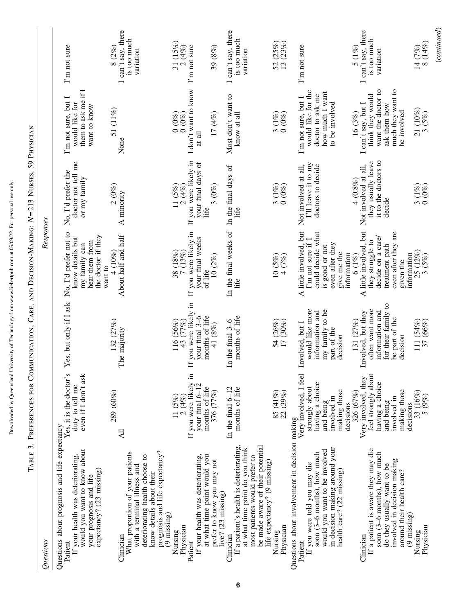| j<br>ţ                                    |
|-------------------------------------------|
| ۱<br>ا                                    |
|                                           |
|                                           |
| Í                                         |
|                                           |
| l                                         |
|                                           |
| ļ                                         |
|                                           |
|                                           |
|                                           |
|                                           |
|                                           |
|                                           |
|                                           |
|                                           |
| ı<br>$\overline{\phantom{a}}$             |
|                                           |
|                                           |
|                                           |
|                                           |
|                                           |
|                                           |
|                                           |
| j                                         |
| l                                         |
|                                           |
|                                           |
|                                           |
|                                           |
|                                           |
| ֖֖֖֖֪ׅ֪ׅ֪ׅ֪ׅ֪֪ׅ֚֚֚֚֚֚֚֚֚֚֚֚֚֚֚֚֚֚֡֝֝֝֝֝֝֝ |
|                                           |
|                                           |
| j                                         |
|                                           |
|                                           |
| i                                         |
|                                           |
|                                           |
|                                           |
|                                           |
|                                           |
|                                           |
|                                           |
| I<br>ı                                    |
|                                           |
|                                           |
|                                           |
|                                           |

| l                                                                             |
|-------------------------------------------------------------------------------|
|                                                                               |
|                                                                               |
| l                                                                             |
| $\frac{1}{11}$                                                                |
| j<br>Ì<br>I                                                                   |
| $\frac{1}{2}$                                                                 |
|                                                                               |
| $\begin{array}{c} \n\downarrow \\ \downarrow \\ \downarrow\n\end{array}$<br>l |
| l                                                                             |
| $\frac{1}{2}$<br>l                                                            |
| I                                                                             |
|                                                                               |
| $\frac{1}{2}$<br>l                                                            |

| $\mathcal Q$ uestions                                                                                                                                                                                                    |                                                                                                                                     |                                                                                                                            | Responses                                                                                                                                        |                                                                                          |                                                                                                                            |                                                             |
|--------------------------------------------------------------------------------------------------------------------------------------------------------------------------------------------------------------------------|-------------------------------------------------------------------------------------------------------------------------------------|----------------------------------------------------------------------------------------------------------------------------|--------------------------------------------------------------------------------------------------------------------------------------------------|------------------------------------------------------------------------------------------|----------------------------------------------------------------------------------------------------------------------------|-------------------------------------------------------------|
| Questions about prognosis and life expectancy<br>would you want to know about<br>If your health was deteriorating,<br>expectancy? (23 missing)<br>your prognosis and life<br>Patient                                     | Yes, it is the doctor's<br>even if I don't ask<br>duty to tell me                                                                   | Yes, but only if I ask                                                                                                     | No, I'd prefer not to<br>the doctor if they<br>know details but<br>hear them from<br>my family can                                               | doctor not tell me<br>No, I'd prefer the<br>or my family                                 | them to ask me if I<br>I'm not sure, but I<br>would like for<br>want to know                                               | I'm not sure                                                |
| prognosis and life expectancy?<br>What proportion of your patients<br>with a terminal illness and<br>deteriorating health choose to<br>know details about their<br>Clinician                                             | 289 (60%)<br>All                                                                                                                    | 132 (27%)<br>The majority                                                                                                  | About half and half<br>4 (10%)<br>want to                                                                                                        | 2(0%)<br>A minority                                                                      | 51 (11%)<br>None                                                                                                           | I can't say, there<br>is too much<br>8 $(2\%)$<br>variation |
| If your health was deteriorating,<br>at what time point would you<br>$(9 \text{ missing})$<br>Physician<br>Nursing<br>Patient                                                                                            | If you were likely in<br>your final $6-12$<br>months of life<br>$\frac{11}{2}\frac{(5\%)}{(4\%)}$                                   | you were likely in<br>your final $3-6$<br>months of life<br>43 (77%)<br>116 (56%)<br>H                                     | If you were likely in<br>your final weeks<br>$\frac{38}{7}\frac{(18\%)}{(13\%)}$<br>of life                                                      | If you were likely in<br>your final days of<br>$\frac{11}{2}\frac{(5\%)}{(4\%)}$<br>Life | I don't want to know<br>(0, 0)<br>$0(0\%)$<br>at all $\,$                                                                  | 31 (15%)<br>2(4%)<br>I'm not sure                           |
| prefer to know you may not<br>live? (23 missing)                                                                                                                                                                         | 376 (77%)                                                                                                                           | 41 (8%)                                                                                                                    | 10(2%)                                                                                                                                           | 3(0%)                                                                                    | $17~(4\%)$                                                                                                                 | 39(8%)                                                      |
| If a patient's health is deteriorating,<br>be made aware of their potential<br>at what time point do you think<br>most patients would prefer to<br>Clinician                                                             | In the final $6-12$<br>months of life                                                                                               | months of life<br>In the final $3-6$                                                                                       | In the final weeks of<br>life                                                                                                                    | In the final days of<br>life                                                             | Most don't want to<br>know at all                                                                                          | I can't say, there<br>is too much<br>variation              |
| life expectancy? (9 missing)<br>Physician<br>Nursing                                                                                                                                                                     | $85(41\%)$ $22(39\%)$                                                                                                               | 54 (26%)<br>17 (30%)                                                                                                       | $10(5\%)$<br>4(7%)                                                                                                                               | $\frac{3}{0} \frac{(1\%)}{(0\%)}$                                                        | $\frac{3}{0} \frac{(1\%)}{(0\%)}$                                                                                          | 52 (25%)<br>13 (23%)                                        |
| Questions about involvement in decision making<br>in decision making around your<br>would you want to be involved<br>soon (3-6 months), how much<br>If you were told you may die<br>health care? (22 missing)<br>Patient | Very involved, I feel<br>having a choice<br>strongly about<br>making those<br>involved in<br>and being<br>decisions                 | would like more<br>my family to be<br>information and<br>Involved, but I<br>part of the<br>decision                        | A little involved, but<br>could decide what<br>I'm not sure if I<br>even after they<br>is good or not<br>give me the<br>information              | I'll leave it to my<br>doctors to decide<br>Not involved at all,                         | would like for the<br>how much I want<br>doctor to ask me<br>I'm not sure, but I<br>to be involved                         | I'm not sure                                                |
| If a patient is aware they may die<br>soon (3–6 months), how much<br>involved in decision making<br>do they usually want to be<br>around their health care?<br>(9 missing)<br>Clinician                                  | feel strongly about<br>Very involved, they<br>having a choice<br>making those<br>326 (67%)<br>involved in<br>and being<br>decisions | for their family to<br>often want more<br>information and<br>Involved, but they<br>be part of the<br>131 (27%)<br>decision | A little involved, but<br>even after they are<br>decide on a care/<br>they struggle to<br>treatment path<br>information<br>$6(1\%)$<br>given the | it to the doctors to<br>they usually leave<br>Not involved at all,<br>4 (0.8%)<br>decide | want the doctor to<br>much they want to<br>think they would<br>I can't say, but I<br>ask them how<br>be involved<br>16(3%) | I can't say, there<br>is too much<br>5 (1%)<br>variation    |
| Physician<br>Nursing                                                                                                                                                                                                     | $33 (16\%)$<br>$5 (9\%)$                                                                                                            | 111 (54%)<br>37 (66%)                                                                                                      | 25 (12%)<br>3(5%)                                                                                                                                | $\frac{3}{0} \frac{(1\%)}{(0\%)}$                                                        | $21(10%)$<br>3 (5%)                                                                                                        | 14 (7%)<br>8 (14%)                                          |
|                                                                                                                                                                                                                          |                                                                                                                                     |                                                                                                                            |                                                                                                                                                  |                                                                                          |                                                                                                                            | (continued)                                                 |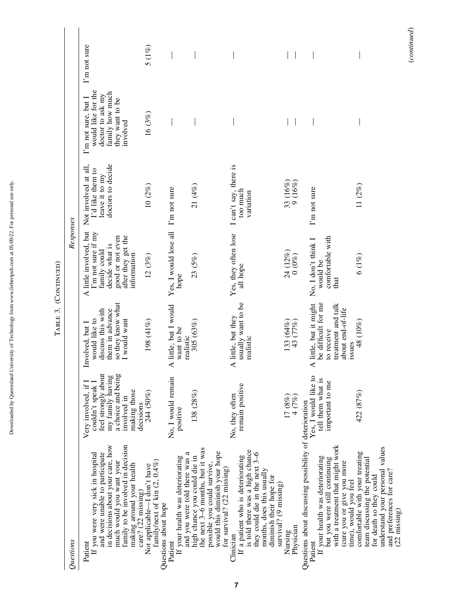| Questions                                                                                                                                                                                                                          |                                                                                                                                         |                                                                                                                  | Responses                                                                                                                               |                                                                                 |                                                                                                                 |              |
|------------------------------------------------------------------------------------------------------------------------------------------------------------------------------------------------------------------------------------|-----------------------------------------------------------------------------------------------------------------------------------------|------------------------------------------------------------------------------------------------------------------|-----------------------------------------------------------------------------------------------------------------------------------------|---------------------------------------------------------------------------------|-----------------------------------------------------------------------------------------------------------------|--------------|
| in decisions about your care, how<br>family to be involved in decision<br>and were unable to participate<br>If you were very sick in hospital<br>much would you want your<br>making around your health<br>Patient                  | feel strongly about<br>my family having<br>a choice and being<br>Very involved, if I<br>couldn't speak I<br>making those<br>involved in | so they know what<br>them in advance<br>discuss this with<br>would like to<br>I would want<br>Involved, but I    | A little involved, but<br>I'm not sure if my<br>after they get the<br>good or not even<br>decide what is<br>family could<br>information | doctors to decide<br>Not involved at all,<br>I'd like them to<br>leave it to my | would like for the<br>family how much<br>doctor to ask my<br>I'm not sure, but I<br>they want to be<br>involved | I'm not sure |
| family/next of kin $(2, 0.4\%)$<br>Not applicable-I don't have<br>care? (22 missing)<br>Questions about hope                                                                                                                       | 244 (50%)<br>decisions                                                                                                                  | 198 (41%)                                                                                                        | 12(3%)                                                                                                                                  | 10(2%)                                                                          | 16(3%)                                                                                                          | $5(1\%)$     |
| and you were told there was a<br>If your health was deteriorating<br>Patient                                                                                                                                                       | No, I would remain<br>positive                                                                                                          | A little, but I would<br>want to be<br>realistic                                                                 | Yes, I would lose all I'm not sure<br>hope                                                                                              |                                                                                 |                                                                                                                 |              |
| the next 3-6 months, but it was<br>would this diminish your hope<br>high chance you could die in<br>possible you could survive,<br>for survival? $(22 \text{ missing})$                                                            | 138(28%)                                                                                                                                | 305 (63%)                                                                                                        | 23(5%)                                                                                                                                  | 21 (4%)                                                                         |                                                                                                                 |              |
| is told there was a high chance<br>they could die in the next 3-6<br>If a patient who is deteriorating<br>months, does this usually<br>diminish their hope for<br>survival? (9 missing)<br>Clinician                               | remain positive<br>No, they often                                                                                                       | usually want to be<br>A little, but they<br>realistic                                                            | Yes, they often lose<br>all hope                                                                                                        | I can't say, there is<br>too much<br>variation                                  |                                                                                                                 |              |
| Physician<br>Nursing                                                                                                                                                                                                               | $17 (8%)$<br>4 (7%)                                                                                                                     | 133 (64%)<br>43 (77%)                                                                                            | $24\ (12\%) \\ 0\ (0\%)$                                                                                                                | $33(16%)$<br>9(16%)                                                             |                                                                                                                 |              |
| Questions about discussing possibility of deterioration<br>with a treatment that might work<br>If your health was deteriorating<br>but you were still continuing<br>(cure you or give you more<br>time), would you feel<br>Patient | Yes, I would like to<br>tell them what is<br>important to me                                                                            | be difficult for me<br>A little, but it might<br>treatment and talk<br>about end-of-life<br>to receive<br>issues | comfortable with<br>No, I don't think I<br>would be<br>that                                                                             | I'm not sure                                                                    |                                                                                                                 |              |
| understand your personal values<br>comfortable with your treating<br>team discussing the potential<br>and preferences for care?<br>for death so they could<br>$(22 \text{ missing})$                                               | 422 (87%)                                                                                                                               | 48 (10%)                                                                                                         | $6(1\%)$                                                                                                                                | 11(2%)                                                                          |                                                                                                                 |              |

TABLE 3. (CONTINUED) Table 3. (Continued)

 $\label{eq:constrained} (continued)$ (*continued*)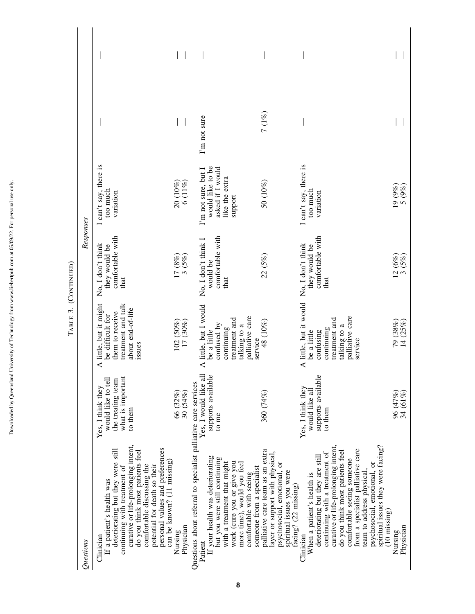Downloaded by Queensland University of Technology from www.liebertpub.com at 05/09/22. For personal use only. Downloaded by Queensland University of Technology from www.liebertpub.com at 05/09/22. For personal use only.

| Questions                                                                                                                                                                                                                                                                                                                                                                                |                                                                                              |                                                                                                                                  | Responses                                                      |                                                                                          |              |  |
|------------------------------------------------------------------------------------------------------------------------------------------------------------------------------------------------------------------------------------------------------------------------------------------------------------------------------------------------------------------------------------------|----------------------------------------------------------------------------------------------|----------------------------------------------------------------------------------------------------------------------------------|----------------------------------------------------------------|------------------------------------------------------------------------------------------|--------------|--|
| curative or life-prolonging intent,<br>personal values and preferences<br>deteriorating but they were still<br>do you think most patients feel<br>can be known? $(11 \text{ missing})$<br>potential for death so their<br>comfortable discussing the<br>continuing with treatment of<br>If a patient's health was<br>Clinician                                                           | what is important<br>would like to tell<br>the treating team<br>Yes, I think they<br>to them | A little, but it might<br>treatment and talk<br>about end-of-life<br>them to receive<br>be difficult for<br>issues               | comfortable with<br>No, I don't think<br>they would be<br>that | I can't say, there is<br>too much<br>variation                                           |              |  |
| Physician<br>Nursing                                                                                                                                                                                                                                                                                                                                                                     | 66 (32%)<br>30 (54%)                                                                         | $102(50%)$<br>$17(30%)$                                                                                                          | $17 (8\%)$<br>3 (5%)                                           | $\begin{array}{c} 20 \ (10\%) \\ 6 \ (11\%) \end{array}$                                 |              |  |
| Questions about referral to specialist palliative care services<br>If your health was deteriorating<br>but you were still continuing<br>with a treatment that might<br>work (cure you or give you<br>more time), would you feel<br>someone from a specialist<br>comfortable with seeing<br>Patient                                                                                       | Yes, I would like all<br>supports available<br>to me                                         | A little, but I would<br>be a little<br>palliative care<br>treatment and<br>confused by<br>talking to a<br>continuing<br>service | comfortable with<br>No, I don't think I<br>would be<br>that    | would like to be<br>asked if I would<br>I'm not sure, but I<br>like the extra<br>support | I'm not sure |  |
| palliative care team as an extra<br>layer or support with physical,<br>psychosocial, emotional, or<br>spiritual issues you were<br>facing? (22 missing)                                                                                                                                                                                                                                  | 360 (74%)                                                                                    | 48 (10%)                                                                                                                         | 22 (5%)                                                        | 50 (10%)                                                                                 | 7 (1%)       |  |
| spiritual issues they were facing?<br>curative or life-prolonging intent,<br>from a specialist palliative care<br>do you think most patients feel<br>continuing with a treatment of<br>deteriorating but they are still<br>comfortable seeing someone<br>psychosocial, emotional, or<br>team to address physical,<br>When a patient's health is<br>$(10 \; \text{missing})$<br>Clinician | supports available<br>Yes, I think they<br>would like all<br>to them                         | A little, but it would<br>palliative care<br>treatment and<br>talking to a<br>continuing<br>be a little<br>confusing<br>service  | comfortable with<br>No, I don't think<br>they would be<br>that | I can't say, there is<br>too much<br>variation                                           |              |  |
| Nursing<br>Physician                                                                                                                                                                                                                                                                                                                                                                     | 96 (47%)<br>34 (61%)                                                                         | 79 (38%)<br>14 (25%)                                                                                                             | $12(6%)$<br>3(5%)                                              | 19 (9%)<br>5 (9%)                                                                        |              |  |

TABLE 3. (CONTINUED) Table 3. (Continued)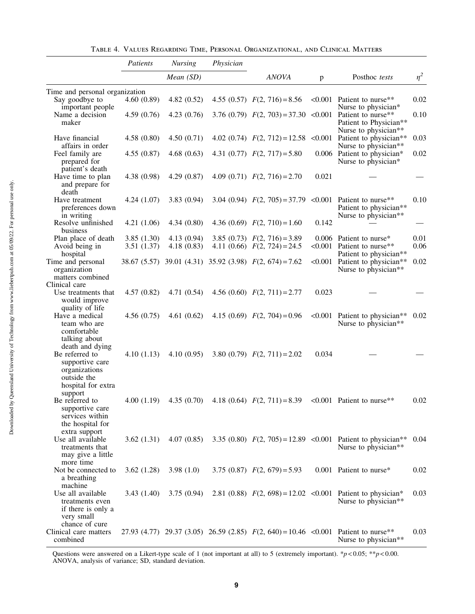|                                                                                                                       | Patients                 | <b>Nursing</b>           | Physician |                                                                  |              |                                                                                                                         |              |
|-----------------------------------------------------------------------------------------------------------------------|--------------------------|--------------------------|-----------|------------------------------------------------------------------|--------------|-------------------------------------------------------------------------------------------------------------------------|--------------|
|                                                                                                                       |                          | Mean (SD)                |           | <b>ANOVA</b>                                                     | $\mathbf{p}$ | Posthoc tests                                                                                                           | $\eta^2$     |
| Time and personal organization                                                                                        |                          |                          |           |                                                                  |              |                                                                                                                         |              |
| Say goodbye to<br>important people                                                                                    | 4.60(0.89)               | 4.82(0.52)               |           | 4.55 (0.57) $F(2, 716) = 8.56$                                   |              | < $0.001$ Patient to nurse**<br>Nurse to physician*                                                                     | 0.02         |
| Name a decision<br>maker                                                                                              | 4.59(0.76)               | 4.23(0.76)               |           |                                                                  |              | 3.76 (0.79) $F(2, 703) = 37.30$ <0.001 Patient to nurse**<br>Patient to Physician**<br>Nurse to physician**             | 0.10         |
| Have financial<br>affairs in order                                                                                    | 4.58(0.80)               | 4.50(0.71)               |           |                                                                  |              | 4.02 (0.74) $F(2, 712) = 12.58$ <0.001 Patient to physician**<br>Nurse to physician**                                   | 0.03         |
| Feel family are<br>prepared for<br>patient's death                                                                    | 4.55(0.87)               | 4.68(0.63)               |           | 4.31 (0.77) $F(2, 717) = 5.80$                                   |              | 0.006 Patient to physician*<br>Nurse to physician*                                                                      | 0.02         |
| Have time to plan<br>and prepare for<br>death                                                                         | 4.38(0.98)               | 4.29(0.87)               |           | 4.09 (0.71) $F(2, 716) = 2.70$                                   | 0.021        |                                                                                                                         |              |
| Have treatment<br>preferences down<br>in writing                                                                      | 4.24(1.07)               | 3.83(0.94)               |           |                                                                  |              | 3.04 (0.94) $F(2, 705) = 37.79$ <0.001 Patient to nurse**<br>Patient to physician**<br>Nurse to physician <sup>**</sup> | 0.10         |
| Resolve unfinished<br>business                                                                                        | 4.21(1.06)               | 4.34(0.80)               |           | 4.36 (0.69) $F(2, 710) = 1.60$                                   | 0.142        |                                                                                                                         |              |
| Plan place of death<br>Avoid being in                                                                                 | 3.85(1.30)<br>3.51(1.37) | 4.13(0.94)<br>4.18(0.83) |           | 3.85 (0.73) $F(2, 716) = 3.89$<br>4.11 (0.66) $F(2, 724) = 24.5$ |              | $0.006$ Patient to nurse*<br><0.001 Patient to nurse**                                                                  | 0.01<br>0.06 |
| hospital<br>Time and personal<br>organization                                                                         |                          |                          |           | 38.67 (5.57) 39.01 (4.31) 35.92 (3.98) $F(2, 674) = 7.62$        |              | Patient to physician**<br><0.001 Patient to physician**<br>Nurse to physician**                                         | 0.02         |
| matters combined<br>Clinical care                                                                                     |                          |                          |           |                                                                  |              |                                                                                                                         |              |
| Use treatments that<br>would improve<br>quality of life                                                               | 4.57(0.82)               | 4.71(0.54)               |           | 4.56 (0.60) $F(2, 711) = 2.77$                                   | 0.023        |                                                                                                                         |              |
| Have a medical<br>team who are<br>comfortable<br>talking about                                                        | 4.56(0.75)               | 4.61(0.62)               |           | 4.15 (0.69) $F(2, 704) = 0.96$                                   |              | $<0.001$ Patient to physician**<br>Nurse to physician**                                                                 | 0.02         |
| death and dying<br>Be referred to<br>supportive care<br>organizations<br>outside the<br>hospital for extra<br>support | 4.10(1.13)               | 4.10(0.95)               |           | 3.80 (0.79) $F(2, 711) = 2.02$                                   | 0.034        |                                                                                                                         |              |
| Be referred to<br>supportive care<br>services within<br>the hospital for<br>extra support                             | 4.00(1.19)               | 4.35(0.70)               |           | 4.18 (0.64) $F(2, 711) = 8.39$                                   |              | <0.001 Patient to nurse**                                                                                               | 0.02         |
| Use all available<br>treatments that<br>may give a little<br>more time                                                | 3.62(1.31)               | 4.07(0.85)               |           |                                                                  |              | 3.35 (0.80) $F(2, 705) = 12.89$ <0.001 Patient to physician**<br>Nurse to physician**                                   | 0.04         |
| Not be connected to<br>a breathing                                                                                    | 3.62(1.28)               | 3.98 $(1.0)$             |           | 3.75 (0.87) $F(2, 679) = 5.93$                                   |              | 0.001 Patient to nurse*                                                                                                 | 0.02         |
| machine<br>Use all available<br>treatments even<br>if there is only a<br>very small                                   | 3.43(1.40)               | 3.75(0.94)               |           |                                                                  |              | 2.81 (0.88) $F(2, 698) = 12.02$ <0.001 Patient to physician*<br>Nurse to physician**                                    | 0.03         |
| chance of cure<br>Clinical care matters<br>combined                                                                   |                          |                          |           |                                                                  |              | 27.93 (4.77) 29.37 (3.05) 26.59 (2.85) $F(2, 640) = 10.46$ <0.001 Patient to nurse**<br>Nurse to physician**            | 0.03         |

Questions were answered on a Likert-type scale of 1 (not important at all) to 5 (extremely important). \**p* < 0.05; \*\**p* < 0.00. ANOVA, analysis of variance; SD, standard deviation.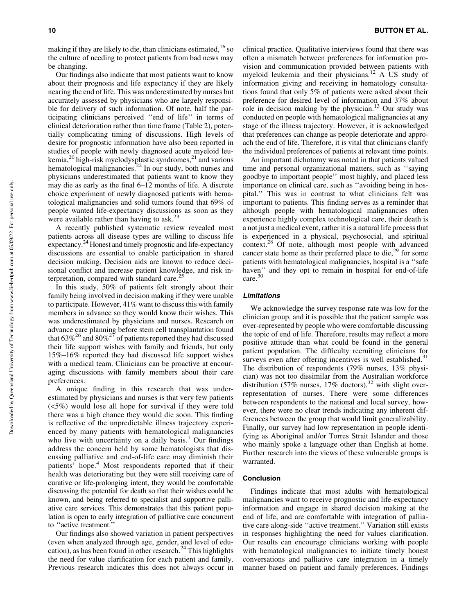Our findings also indicate that most patients want to know about their prognosis and life expectancy if they are likely nearing the end of life. This was underestimated by nurses but accurately assessed by physicians who are largely responsible for delivery of such information. Of note, half the participating clinicians perceived ''end of life'' in terms of clinical deterioration rather than time frame (Table 2), potentially complicating timing of discussions. High levels of desire for prognostic information have also been reported in studies of people with newly diagnosed acute myeloid leukemia,<sup>20</sup> high-risk myelodysplastic syndromes,<sup>21</sup> and various hematological malignancies.<sup>22</sup> In our study, both nurses and physicians underestimated that patients want to know they may die as early as the final 6–12 months of life. A discrete choice experiment of newly diagnosed patients with hematological malignancies and solid tumors found that 69% of people wanted life-expectancy discussions as soon as they were available rather than having to ask.<sup>23</sup>

A recently published systematic review revealed most patients across all disease types are willing to discuss life expectancy.<sup>24</sup> Honest and timely prognostic and life-expectancy discussions are essential to enable participation in shared decision making. Decision aids are known to reduce decisional conflict and increase patient knowledge, and risk interpretation, compared with standard care.<sup>25</sup>

In this study, 50% of patients felt strongly about their family being involved in decision making if they were unable to participate. However, 41% want to discuss this with family members in advance so they would know their wishes. This was underestimated by physicians and nurses. Research on advance care planning before stem cell transplantation found that  $63\%^{26}$  and  $80\%^{27}$  of patients reported they had discussed their life support wishes with family and friends, but only 15%–16% reported they had discussed life support wishes with a medical team. Clinicians can be proactive at encouraging discussions with family members about their care preferences.

A unique finding in this research that was underestimated by physicians and nurses is that very few patients (<5%) would lose all hope for survival if they were told there was a high chance they would die soon. This finding is reflective of the unpredictable illness trajectory experienced by many patients with hematological malignancies who live with uncertainty on a daily basis.<sup>1</sup> Our findings address the concern held by some hematologists that discussing palliative and end-of-life care may diminish their patients' hope.<sup>4</sup> Most respondents reported that if their health was deteriorating but they were still receiving care of curative or life-prolonging intent, they would be comfortable discussing the potential for death so that their wishes could be known, and being referred to specialist and supportive palliative care services. This demonstrates that this patient population is open to early integration of palliative care concurrent to ''active treatment.''

Our findings also showed variation in patient perspectives (even when analyzed through age, gender, and level of education), as has been found in other research.<sup>24</sup> This highlights the need for value clarification for each patient and family. Previous research indicates this does not always occur in clinical practice. Qualitative interviews found that there was often a mismatch between preferences for information provision and communication provided between patients with myeloid leukemia and their physicians.<sup>12</sup> A US study of information giving and receiving in hematology consultations found that only 5% of patients were asked about their preference for desired level of information and 37% about role in decision making by the physician.<sup>13</sup> Our study was conducted on people with hematological malignancies at any stage of the illness trajectory. However, it is acknowledged that preferences can change as people deteriorate and approach the end of life. Therefore, it is vital that clinicians clarify the individual preferences of patients at relevant time points.

An important dichotomy was noted in that patients valued time and personal organizational matters, such as ''saying goodbye to important people'' most highly, and placed less importance on clinical care, such as ''avoiding being in hospital.'' This was in contrast to what clinicians felt was important to patients. This finding serves as a reminder that although people with hematological malignancies often experience highly complex technological care, their death is a not just a medical event, rather it is a natural life process that is experienced in a physical, psychosocial, and spiritual context.28 Of note, although most people with advanced cancer state home as their preferred place to die, $^{29}$  for some patients with hematological malignancies, hospital is a ''safe haven" and they opt to remain in hospital for end-of-life care.<sup>30</sup>

#### Limitations

We acknowledge the survey response rate was low for the clinician group, and it is possible that the patient sample was over-represented by people who were comfortable discussing the topic of end of life. Therefore, results may reflect a more positive attitude than what could be found in the general patient population. The difficulty recruiting clinicians for surveys even after offering incentives is well established. $31$ The distribution of respondents (79% nurses, 13% physician) was not too dissimilar from the Australian workforce distribution (57% nurses, 17% doctors),<sup>32</sup> with slight overrepresentation of nurses. There were some differences between respondents to the national and local survey, however, there were no clear trends indicating any inherent differences between the group that would limit generalizability. Finally, our survey had low representation in people identifying as Aboriginal and/or Torres Strait Islander and those who mainly spoke a language other than English at home. Further research into the views of these vulnerable groups is warranted.

#### Conclusion

Findings indicate that most adults with hematological malignancies want to receive prognostic and life-expectancy information and engage in shared decision making at the end of life, and are comfortable with integration of palliative care along-side ''active treatment.'' Variation still exists in responses highlighting the need for values clarification. Our results can encourage clinicians working with people with hematological malignancies to initiate timely honest conversations and palliative care integration in a timely manner based on patient and family preferences. Findings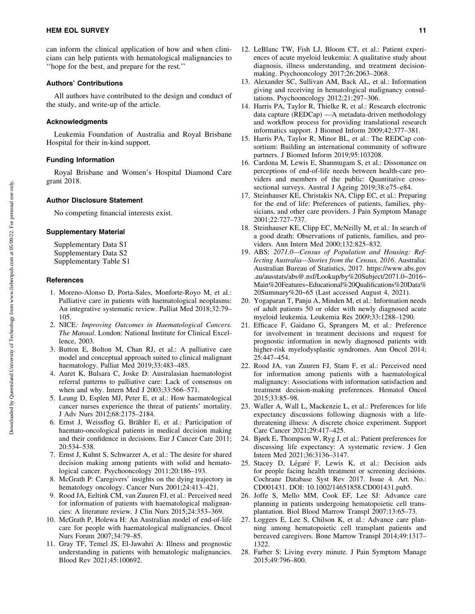can inform the clinical application of how and when clinicians can help patients with hematological malignancies to ''hope for the best, and prepare for the rest.''

#### Authors' Contributions

All authors have contributed to the design and conduct of the study, and write-up of the article.

## Acknowledgments

Leukemia Foundation of Australia and Royal Brisbane Hospital for their in-kind support.

# Funding Information

Royal Brisbane and Women's Hospital Diamond Care grant 2018.

#### Author Disclosure Statement

No competing financial interests exist.

## Supplementary Material

Supplementary Data S1 Supplementary Data S2 Supplementary Table S1

#### **References**

- 1. Moreno-Alonso D, Porta-Sales, Monforte-Royo M, et al.: Palliative care in patients with haematological neoplasms: An integrative systematic review. Palliat Med 2018;32:79– 105.
- 2. NICE*: Improving Outcomes in Haematological Cancers. The Manual*. London: National Institute for Clinical Excellence, 2003.
- 3. Button E, Bolton M, Chan RJ, et al.: A palliative care model and conceptual approach suited to clinical malignant haematology. Palliat Med 2019;33:483–485.
- 4. Auret K, Bulsara C, Joske D: Australasian haematologist referral patterns to palliative care: Lack of consensus on when and why. Intern Med J 2003;33:566–571.
- 5. Leung D, Esplen MJ, Peter E, et al.: How haematological cancer nurses experience the threat of patients' mortality. J Adv Nurs 2012;68:2175–2184.
- 6. Ernst J, Weissflog G, Brähler E, et al.: Participation of haemato-oncological patients in medical decision making and their confidence in decisions. Eur J Cancer Care 2011; 20:534–538.
- 7. Ernst J, Kuhnt S, Schwarzer A, et al.: The desire for shared decision making among patients with solid and hematological cancer. Psychooncology 2011;20:186–193.
- 8. McGrath P: Caregivers' insights on the dying trajectory in hematology oncology. Cancer Nurs 2001;24:413–421.
- 9. Rood JA, Eeltink CM, van Zuuren FJ, et al.: Perceived need for information of patients with haematological malignancies: A literature review. J Clin Nurs 2015;24:353–369.
- 10. McGrath P, Holewa H: An Australian model of end-of-life care for people with haematological malignancies. Oncol Nurs Forum 2007;34:79–85.
- 11. Gray TF, Temel JS, El-Jawahri A: Illness and prognostic understanding in patients with hematologic malignancies. Blood Rev 2021;45:100692.
- 12. LeBlanc TW, Fish LJ, Bloom CT, et al.: Patient experiences of acute myeloid leukemia: A qualitative study about diagnosis, illness understanding, and treatment decisionmaking. Psychooncology 2017;26:2063–2068.
- 13. Alexander SC, Sullivan AM, Back AL, et al.: Information giving and receiving in hematological malignancy consultations. Psychooncology 2012;21:297–306.
- 14. Harris PA, Taylor R, Thielke R, et al.: Research electronic data capture (REDCap) —A metadata-driven methodology and workflow process for providing translational research informatics support. J Biomed Inform 2009;42:377–381.
- 15. Harris PA, Taylor R, Minor BL, et al.: The REDCap consortium: Building an international community of software partners. J Biomed Inform 2019;95:103208.
- 16. Cardona M, Lewis E, Shanmugam S, et al.: Dissonance on perceptions of end-of-life needs between health-care providers and members of the public: Quantitative crosssectional surveys. Austral J Ageing 2019;38:e75–e84.
- 17. Steinhauser KE, Christakis NA, Clipp EC, et al.: Preparing for the end of life: Preferences of patients, families, physicians, and other care providers. J Pain Symptom Manage 2001;22:727–737.
- 18. Steinhauser KE, Clipp EC, McNeilly M, et al.: In search of a good death: Observations of patients, families, and providers. Ann Intern Med 2000;132:825–832.
- 19. ABS: *2071.0—Census of Population and Housing: Reflecting Australia—Stories from the Census, 2016*. Australia: Australian Bureau of Statistics, 2017. [https://www.abs.gov](https://www.abs.gov.au/ausstats/abs@.nsf/Lookup/by%20Subject/2071.0~2016~Main%20Features~Educational%20Qualifications%20Data%20Summary%20~65) [.au/ausstats/abs@.nsf/Lookup/by%20Subject/2071.0~2016~](https://www.abs.gov.au/ausstats/abs@.nsf/Lookup/by%20Subject/2071.0~2016~Main%20Features~Educational%20Qualifications%20Data%20Summary%20~65) [Main%20Features~Educational%20Qualifications%20Data%](https://www.abs.gov.au/ausstats/abs@.nsf/Lookup/by%20Subject/2071.0~2016~Main%20Features~Educational%20Qualifications%20Data%20Summary%20~65) [20Summary%20~65](https://www.abs.gov.au/ausstats/abs@.nsf/Lookup/by%20Subject/2071.0~2016~Main%20Features~Educational%20Qualifications%20Data%20Summary%20~65) (Last accessed August 4, 2021).
- 20. Yogaparan T, Panju A, Minden M, et al.: Information needs of adult patients 50 or older with newly diagnosed acute myeloid leukemia. Leukemia Res 2009;33:1288–1290.
- 21. Efficace F, Gaidano G, Sprangers M, et al.: Preference for involvement in treatment decisions and request for prognostic information in newly diagnosed patients with higher-risk myelodysplastic syndromes. Ann Oncol 2014; 25:447–454.
- 22. Rood JA, van Zuuren FJ, Stam F, et al.: Perceived need for information among patients with a haematological malignancy: Associations with information satisfaction and treatment decision-making preferences. Hematol Oncol 2015;33:85–98.
- 23. Waller A, Wall L, Mackenzie L, et al.: Preferences for life expectancy discussions following diagnosis with a lifethreatening illness: A discrete choice experiment. Support Care Cancer 2021;29:417–425.
- 24. Bjørk E, Thompson W, Ryg J, et al.: Patient preferences for discussing life expectancy: A systematic review. J Gen Intern Med 2021;36:3136–3147.
- 25. Stacey D, Légaré F, Lewis K, et al.: Decision aids for people facing health treatment or screening decisions. Cochrane Database Syst Rev 2017. Issue 4. Art. No.: CD001431. DOI: 10.1002/14651858.CD001431.pub5.
- 26. Joffe S, Mello MM, Cook EF, Lee SJ: Advance care planning in patients undergoing hematopoietic cell transplantation. Biol Blood Marrow Transpl 2007;13:65–73.
- 27. Loggers E, Lee S, Chilson K, et al.: Advance care planning among hematopoietic cell transplant patients and bereaved caregivers. Bone Marrow Transpl 2014;49:1317– 1322.
- 28. Farber S: Living every minute. J Pain Symptom Manage 2015;49:796–800.